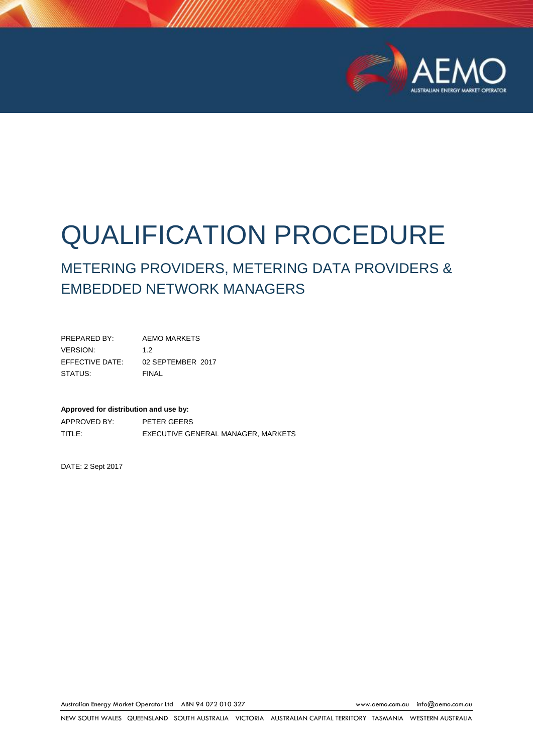

# QUALIFICATION PROCEDURE

## METERING PROVIDERS, METERING DATA PROVIDERS & EMBEDDED NETWORK MANAGERS

PREPARED BY: AEMO MARKETS VERSION: 1.2 EFFECTIVE DATE: 02 SEPTEMBER 2017 STATUS: FINAL

#### **Approved for distribution and use by:**

APPROVED BY: PETER GEERS TITLE: EXECUTIVE GENERAL MANAGER, MARKETS

DATE: 2 Sept 2017

Australian Energy Market Operator Ltd ABN 94 072 010 327 [www.aemo.com.au](http://www.aemo.com.au/) [info@aemo.com.au](mailto:info@aemo.com.au)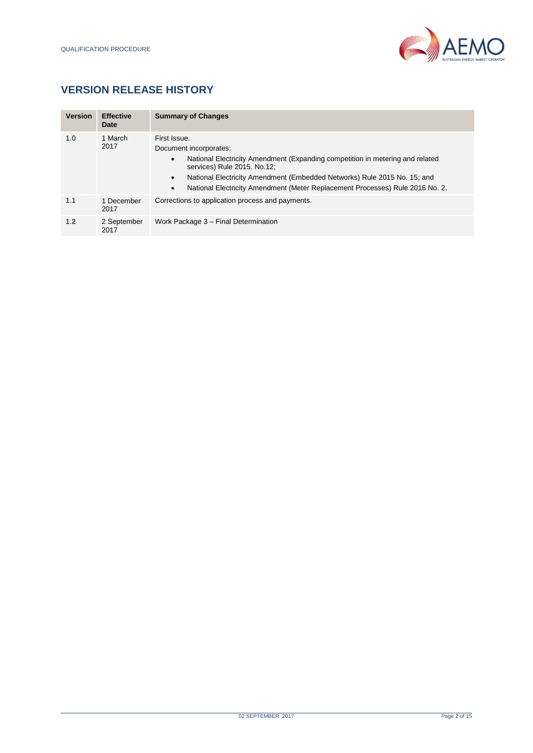

## **VERSION RELEASE HISTORY**

| <b>Version</b> | <b>Effective</b><br>Date | <b>Summary of Changes</b>                                                                                                                                                                                                                                                                                                                          |
|----------------|--------------------------|----------------------------------------------------------------------------------------------------------------------------------------------------------------------------------------------------------------------------------------------------------------------------------------------------------------------------------------------------|
| 1.0            | 1 March<br>2017          | First Issue.<br>Document incorporates:<br>National Electricity Amendment (Expanding competition in metering and related<br>٠<br>services) Rule 2015. No.12;<br>National Electricity Amendment (Embedded Networks) Rule 2015 No. 15; and<br>$\bullet$<br>National Electricity Amendment (Meter Replacement Processes) Rule 2016 No. 2.<br>$\bullet$ |
| 1.1            | 1 December<br>2017       | Corrections to application process and payments.                                                                                                                                                                                                                                                                                                   |
| 1.2            | 2 September<br>2017      | Work Package 3 – Final Determination                                                                                                                                                                                                                                                                                                               |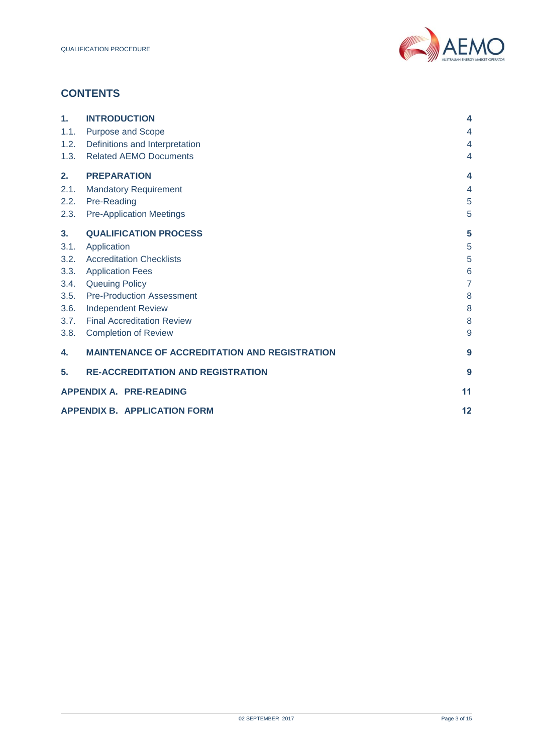

## **CONTENTS**

| 1.   | <b>INTRODUCTION</b>                                  | $\overline{\mathbf{4}}$ |  |
|------|------------------------------------------------------|-------------------------|--|
| 1.1. | <b>Purpose and Scope</b>                             | $\overline{4}$          |  |
| 1.2. | Definitions and Interpretation                       | $\overline{4}$          |  |
| 1.3. | <b>Related AEMO Documents</b>                        | $\overline{4}$          |  |
| 2.   | <b>PREPARATION</b>                                   | $\overline{\bf 4}$      |  |
| 2.1. | <b>Mandatory Requirement</b>                         | $\overline{4}$          |  |
| 2.2. | Pre-Reading                                          | 5                       |  |
| 2.3. | <b>Pre-Application Meetings</b>                      | 5                       |  |
| 3.   | <b>QUALIFICATION PROCESS</b>                         | 5                       |  |
| 3.1. | Application                                          | 5                       |  |
| 3.2. | <b>Accreditation Checklists</b>                      | 5                       |  |
| 3.3. | <b>Application Fees</b>                              | 6                       |  |
| 3.4. | <b>Queuing Policy</b>                                | $\overline{7}$          |  |
| 3.5. | <b>Pre-Production Assessment</b>                     | 8                       |  |
| 3.6. | <b>Independent Review</b>                            | 8                       |  |
| 3.7. | <b>Final Accreditation Review</b>                    | 8                       |  |
| 3.8. | <b>Completion of Review</b>                          | 9                       |  |
| 4.   | <b>MAINTENANCE OF ACCREDITATION AND REGISTRATION</b> | 9                       |  |
| 5.   | <b>RE-ACCREDITATION AND REGISTRATION</b>             | 9                       |  |
|      | <b>APPENDIX A. PRE-READING</b><br>11                 |                         |  |
|      | <b>APPENDIX B. APPLICATION FORM</b>                  | 12                      |  |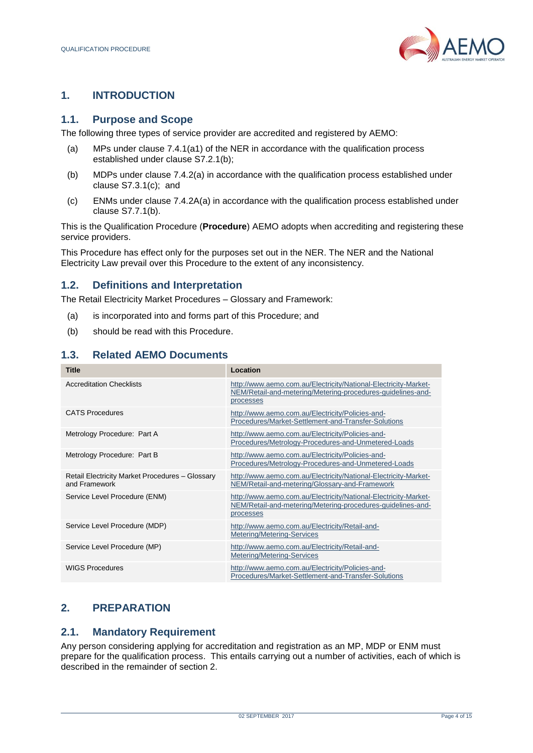

## <span id="page-3-0"></span>**1. INTRODUCTION**

#### <span id="page-3-1"></span>**1.1. Purpose and Scope**

The following three types of service provider are accredited and registered by AEMO:

- (a) MPs under clause 7.4.1(a1) of the NER in accordance with the qualification process established under clause S7.2.1(b);
- (b) MDPs under clause 7.4.2(a) in accordance with the qualification process established under clause S7.3.1(c); and
- (c) ENMs under clause 7.4.2A(a) in accordance with the qualification process established under clause S7.7.1(b).

This is the Qualification Procedure (**Procedure**) AEMO adopts when accrediting and registering these service providers.

This Procedure has effect only for the purposes set out in the NER. The NER and the National Electricity Law prevail over this Procedure to the extent of any inconsistency.

## <span id="page-3-2"></span>**1.2. Definitions and Interpretation**

The Retail Electricity Market Procedures – Glossary and Framework:

- (a) is incorporated into and forms part of this Procedure; and
- (b) should be read with this Procedure.

#### <span id="page-3-3"></span>**1.3. Related AEMO Documents**

| <b>Title</b>                                                     | Location                                                                                                                                    |
|------------------------------------------------------------------|---------------------------------------------------------------------------------------------------------------------------------------------|
| <b>Accreditation Checklists</b>                                  | http://www.aemo.com.au/Electricity/National-Electricity-Market-<br>NEM/Retail-and-metering/Metering-procedures-guidelines-and-<br>processes |
| <b>CATS Procedures</b>                                           | http://www.aemo.com.au/Electricity/Policies-and-<br>Procedures/Market-Settlement-and-Transfer-Solutions                                     |
| Metrology Procedure: Part A                                      | http://www.aemo.com.au/Electricity/Policies-and-<br>Procedures/Metrology-Procedures-and-Unmetered-Loads                                     |
| Metrology Procedure: Part B                                      | http://www.aemo.com.au/Electricity/Policies-and-<br>Procedures/Metrology-Procedures-and-Unmetered-Loads                                     |
| Retail Electricity Market Procedures - Glossary<br>and Framework | http://www.aemo.com.au/Electricity/National-Electricity-Market-<br>NEM/Retail-and-metering/Glossary-and-Framework                           |
| Service Level Procedure (ENM)                                    | http://www.aemo.com.au/Electricity/National-Electricity-Market-<br>NEM/Retail-and-metering/Metering-procedures-guidelines-and-<br>processes |
| Service Level Procedure (MDP)                                    | http://www.aemo.com.au/Electricity/Retail-and-<br>Metering/Metering-Services                                                                |
| Service Level Procedure (MP)                                     | http://www.aemo.com.au/Electricity/Retail-and-<br>Metering/Metering-Services                                                                |
| <b>WIGS Procedures</b>                                           | http://www.aemo.com.au/Electricity/Policies-and-<br>Procedures/Market-Settlement-and-Transfer-Solutions                                     |

## <span id="page-3-4"></span>**2. PREPARATION**

#### <span id="page-3-5"></span>**2.1. Mandatory Requirement**

Any person considering applying for accreditation and registration as an MP, MDP or ENM must prepare for the qualification process. This entails carrying out a number of activities, each of which is described in the remainder of section 2.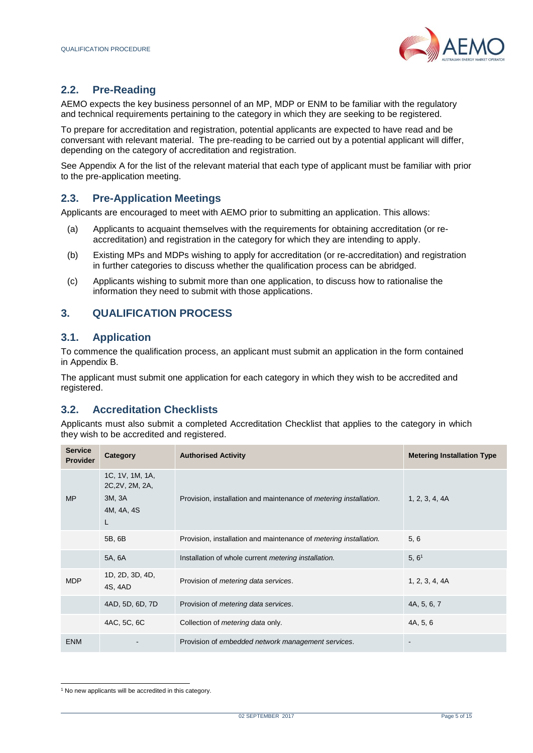

## <span id="page-4-0"></span>**2.2. Pre-Reading**

AEMO expects the key business personnel of an MP, MDP or ENM to be familiar with the regulatory and technical requirements pertaining to the category in which they are seeking to be registered.

To prepare for accreditation and registration, potential applicants are expected to have read and be conversant with relevant material. The pre-reading to be carried out by a potential applicant will differ, depending on the category of accreditation and registration.

See Appendix A for the list of the relevant material that each type of applicant must be familiar with prior to the pre-application meeting.

## <span id="page-4-1"></span>**2.3. Pre-Application Meetings**

Applicants are encouraged to meet with AEMO prior to submitting an application. This allows:

- (a) Applicants to acquaint themselves with the requirements for obtaining accreditation (or reaccreditation) and registration in the category for which they are intending to apply.
- (b) Existing MPs and MDPs wishing to apply for accreditation (or re-accreditation) and registration in further categories to discuss whether the qualification process can be abridged.
- (c) Applicants wishing to submit more than one application, to discuss how to rationalise the information they need to submit with those applications.

#### <span id="page-4-2"></span>**3. QUALIFICATION PROCESS**

#### <span id="page-4-3"></span>**3.1. Application**

To commence the qualification process, an applicant must submit an application in the form contained in Appendix B.

The applicant must submit one application for each category in which they wish to be accredited and registered.

#### <span id="page-4-4"></span>**3.2. Accreditation Checklists**

Applicants must also submit a completed Accreditation Checklist that applies to the category in which they wish to be accredited and registered.

| <b>Service</b><br><b>Provider</b> | Category                                                        | <b>Authorised Activity</b>                                                | <b>Metering Installation Type</b> |
|-----------------------------------|-----------------------------------------------------------------|---------------------------------------------------------------------------|-----------------------------------|
| <b>MP</b>                         | 1C, 1V, 1M, 1A,<br>2C, 2V, 2M, 2A,<br>3M, 3A<br>4M, 4A, 4S<br>L | Provision, installation and maintenance of <i>metering installation</i> . | 1, 2, 3, 4, 4A                    |
|                                   | 5B, 6B                                                          | Provision, installation and maintenance of <i>metering installation</i> . | 5, 6                              |
|                                   | 5A, 6A                                                          | Installation of whole current metering installation.                      | 5, 6 <sup>1</sup>                 |
| <b>MDP</b>                        | 1D, 2D, 3D, 4D,<br>4S, 4AD                                      | Provision of <i>metering data services</i> .                              | 1, 2, 3, 4, 4A                    |
|                                   | 4AD, 5D, 6D, 7D                                                 | Provision of <i>metering data services</i> .                              | 4A, 5, 6, 7                       |
|                                   | 4AC, 5C, 6C                                                     | Collection of <i>metering data</i> only.                                  | 4A, 5, 6                          |
| <b>ENM</b>                        |                                                                 | Provision of embedded network management services.                        |                                   |

l <sup>1</sup> No new applicants will be accredited in this category.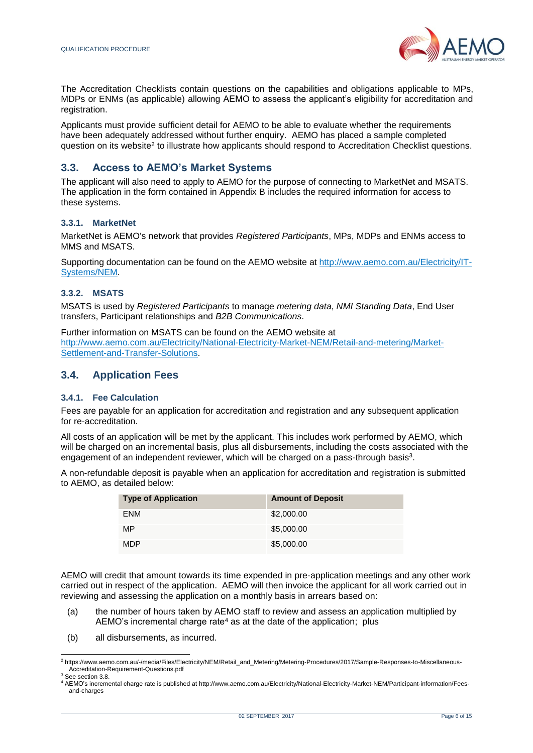

The Accreditation Checklists contain questions on the capabilities and obligations applicable to MPs, MDPs or ENMs (as applicable) allowing AEMO to assess the applicant's eligibility for accreditation and registration.

Applicants must provide sufficient detail for AEMO to be able to evaluate whether the requirements have been adequately addressed without further enquiry. AEMO has placed a sample completed question on its website<sup>2</sup> to illustrate how applicants should respond to Accreditation Checklist questions.

#### **3.3. Access to AEMO's Market Systems**

The applicant will also need to apply to AEMO for the purpose of connecting to MarketNet and MSATS. The application in the form contained in Appendix B includes the required information for access to these systems.

#### **3.3.1. MarketNet**

MarketNet is AEMO's network that provides *Registered Participants*, MPs, MDPs and ENMs access to MMS and MSATS.

Supporting documentation can be found on the AEMO website a[t http://www.aemo.com.au/Electricity/IT-](http://www.aemo.com.au/Electricity/IT-Systems/NEM)[Systems/NEM.](http://www.aemo.com.au/Electricity/IT-Systems/NEM)

#### **3.3.2. MSATS**

MSATS is used by *Registered Participants* to manage *metering data*, *NMI Standing Data*, End User transfers, Participant relationships and *B2B Communications*.

Further information on MSATS can be found on the AEMO website at [http://www.aemo.com.au/Electricity/National-Electricity-Market-NEM/Retail-and-metering/Market-](http://www.aemo.com.au/Electricity/National-Electricity-Market-NEM/Retail-and-metering/Market-Settlement-and-Transfer-Solutions)[Settlement-and-Transfer-Solutions.](http://www.aemo.com.au/Electricity/National-Electricity-Market-NEM/Retail-and-metering/Market-Settlement-and-Transfer-Solutions)

#### <span id="page-5-0"></span>**3.4. Application Fees**

#### **3.4.1. Fee Calculation**

Fees are payable for an application for accreditation and registration and any subsequent application for re-accreditation.

All costs of an application will be met by the applicant. This includes work performed by AEMO, which will be charged on an incremental basis, plus all disbursements, including the costs associated with the engagement of an independent reviewer, which will be charged on a pass-through basis<sup>3</sup>.

A non-refundable deposit is payable when an application for accreditation and registration is submitted to AEMO, as detailed below:

| <b>Type of Application</b> | <b>Amount of Deposit</b> |
|----------------------------|--------------------------|
| <b>ENM</b>                 | \$2,000.00               |
| MP                         | \$5,000.00               |
| <b>MDP</b>                 | \$5,000.00               |

AEMO will credit that amount towards its time expended in pre-application meetings and any other work carried out in respect of the application. AEMO will then invoice the applicant for all work carried out in reviewing and assessing the application on a monthly basis in arrears based on:

- (a) the number of hours taken by AEMO staff to review and assess an application multiplied by AEMO's incremental charge rate<sup>4</sup> as at the date of the application; plus
- (b) all disbursements, as incurred.

l

<sup>2</sup> [https://www.aemo.com.au/-/media/Files/Electricity/NEM/Retail\\_and\\_Metering/Metering-Procedures/2017/Sample-Responses-to-Miscellaneous-](https://www.aemo.com.au/-/media/Files/Electricity/NEM/Retail_and_Metering/Metering-Procedures/2017/Sample-Responses-to-Miscellaneous-Accreditation-Requirement-Questions.pdf)[Accreditation-Requirement-Questions.pdf](https://www.aemo.com.au/-/media/Files/Electricity/NEM/Retail_and_Metering/Metering-Procedures/2017/Sample-Responses-to-Miscellaneous-Accreditation-Requirement-Questions.pdf)

<sup>3</sup> See section 3.8.

<sup>4</sup> AEMO's incremental charge rate is published a[t http://www.aemo.com.au/Electricity/National-Electricity-Market-NEM/Participant-information/Fees](http://www.aemo.com.au/Electricity/National-Electricity-Market-NEM/Participant-information/Fees-and-charges)[and-charges](http://www.aemo.com.au/Electricity/National-Electricity-Market-NEM/Participant-information/Fees-and-charges)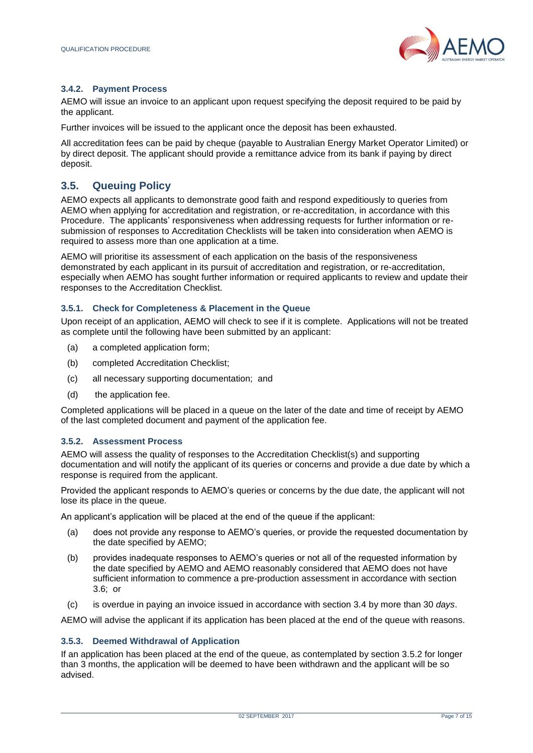

#### **3.4.2. Payment Process**

AEMO will issue an invoice to an applicant upon request specifying the deposit required to be paid by the applicant.

Further invoices will be issued to the applicant once the deposit has been exhausted.

All accreditation fees can be paid by cheque (payable to Australian Energy Market Operator Limited) or by direct deposit. The applicant should provide a remittance advice from its bank if paying by direct deposit.

## <span id="page-6-0"></span>**3.5. Queuing Policy**

AEMO expects all applicants to demonstrate good faith and respond expeditiously to queries from AEMO when applying for accreditation and registration, or re-accreditation, in accordance with this Procedure. The applicants' responsiveness when addressing requests for further information or resubmission of responses to Accreditation Checklists will be taken into consideration when AEMO is required to assess more than one application at a time.

AEMO will prioritise its assessment of each application on the basis of the responsiveness demonstrated by each applicant in its pursuit of accreditation and registration, or re-accreditation, especially when AEMO has sought further information or required applicants to review and update their responses to the Accreditation Checklist.

#### **3.5.1. Check for Completeness & Placement in the Queue**

Upon receipt of an application, AEMO will check to see if it is complete. Applications will not be treated as complete until the following have been submitted by an applicant:

- (a) a completed application form;
- (b) completed Accreditation Checklist;
- (c) all necessary supporting documentation; and
- (d) the application fee.

Completed applications will be placed in a queue on the later of the date and time of receipt by AEMO of the last completed document and payment of the application fee.

#### **3.5.2. Assessment Process**

AEMO will assess the quality of responses to the Accreditation Checklist(s) and supporting documentation and will notify the applicant of its queries or concerns and provide a due date by which a response is required from the applicant.

Provided the applicant responds to AEMO's queries or concerns by the due date, the applicant will not lose its place in the queue.

An applicant's application will be placed at the end of the queue if the applicant:

- (a) does not provide any response to AEMO's queries, or provide the requested documentation by the date specified by AEMO;
- (b) provides inadequate responses to AEMO's queries or not all of the requested information by the date specified by AEMO and AEMO reasonably considered that AEMO does not have sufficient information to commence a pre-production assessment in accordance with section 3.6; or
- (c) is overdue in paying an invoice issued in accordance with section 3.4 by more than 30 *days*.

AEMO will advise the applicant if its application has been placed at the end of the queue with reasons.

#### **3.5.3. Deemed Withdrawal of Application**

If an application has been placed at the end of the queue, as contemplated by section 3.5.2 for longer than 3 months, the application will be deemed to have been withdrawn and the applicant will be so advised.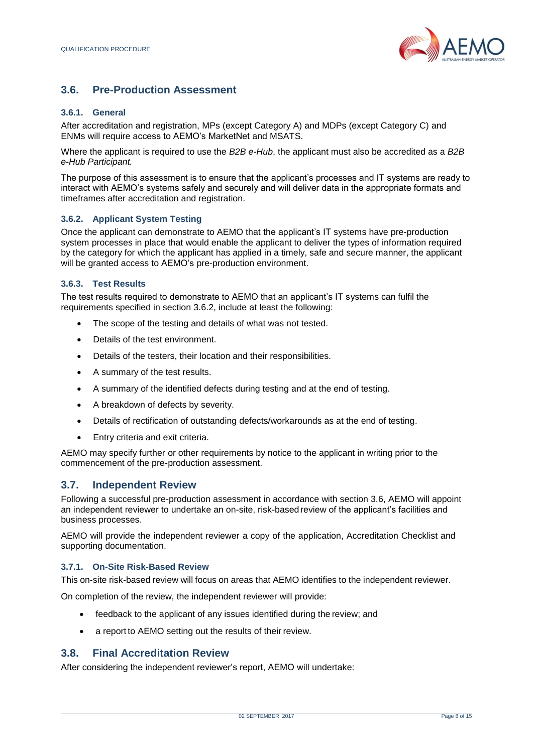

## <span id="page-7-0"></span>**3.6. Pre-Production Assessment**

#### **3.6.1. General**

After accreditation and registration, MPs (except Category A) and MDPs (except Category C) and ENMs will require access to AEMO's MarketNet and MSATS.

Where the applicant is required to use the *B2B e-Hub*, the applicant must also be accredited as a *B2B e-Hub Participant.*

The purpose of this assessment is to ensure that the applicant's processes and IT systems are ready to interact with AEMO's systems safely and securely and will deliver data in the appropriate formats and timeframes after accreditation and registration.

#### **3.6.2. Applicant System Testing**

Once the applicant can demonstrate to AEMO that the applicant's IT systems have pre-production system processes in place that would enable the applicant to deliver the types of information required by the category for which the applicant has applied in a timely, safe and secure manner, the applicant will be granted access to AEMO's pre-production environment.

#### **3.6.3. Test Results**

The test results required to demonstrate to AEMO that an applicant's IT systems can fulfil the requirements specified in section 3.6.2, include at least the following:

- The scope of the testing and details of what was not tested.
- Details of the test environment.
- Details of the testers, their location and their responsibilities.
- A summary of the test results.
- A summary of the identified defects during testing and at the end of testing.
- A breakdown of defects by severity.
- Details of rectification of outstanding defects/workarounds as at the end of testing.
- Entry criteria and exit criteria.

AEMO may specify further or other requirements by notice to the applicant in writing prior to the commencement of the pre-production assessment.

## <span id="page-7-1"></span>**3.7. Independent Review**

Following a successful pre-production assessment in accordance with section 3.6, AEMO will appoint an independent reviewer to undertake an on-site, risk-based review of the applicant's facilities and business processes.

AEMO will provide the independent reviewer a copy of the application, Accreditation Checklist and supporting documentation.

#### **3.7.1. On-Site Risk-Based Review**

This on-site risk-based review will focus on areas that AEMO identifies to the independent reviewer.

On completion of the review, the independent reviewer will provide:

- feedback to the applicant of any issues identified during the review; and
- a report to AEMO setting out the results of their review.

#### <span id="page-7-2"></span>**3.8. Final Accreditation Review**

After considering the independent reviewer's report, AEMO will undertake: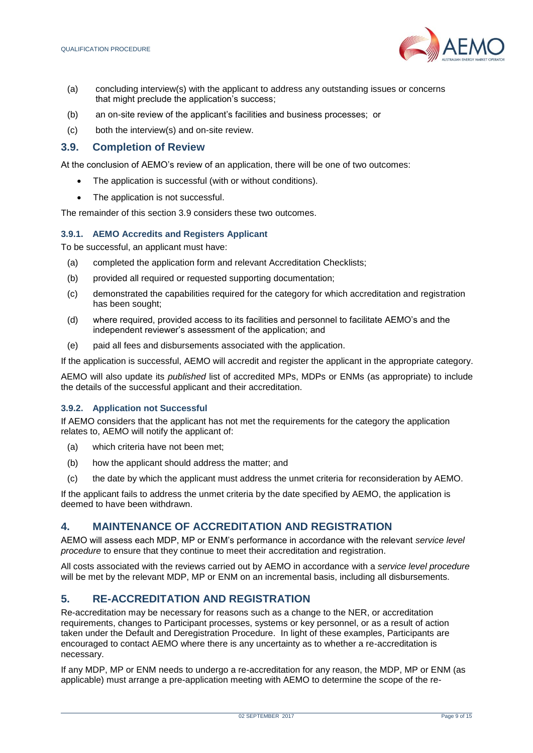

- (a) concluding interview(s) with the applicant to address any outstanding issues or concerns that might preclude the application's success;
- (b) an on-site review of the applicant's facilities and business processes; or
- (c) both the interview(s) and on-site review.

#### <span id="page-8-0"></span>**3.9. Completion of Review**

At the conclusion of AEMO's review of an application, there will be one of two outcomes:

- The application is successful (with or without conditions).
- The application is not successful.

The remainder of this section 3.9 considers these two outcomes.

#### **3.9.1. AEMO Accredits and Registers Applicant**

To be successful, an applicant must have:

- (a) completed the application form and relevant Accreditation Checklists;
- (b) provided all required or requested supporting documentation;
- (c) demonstrated the capabilities required for the category for which accreditation and registration has been sought;
- (d) where required, provided access to its facilities and personnel to facilitate AEMO's and the independent reviewer's assessment of the application; and
- (e) paid all fees and disbursements associated with the application.

If the application is successful, AEMO will accredit and register the applicant in the appropriate category.

AEMO will also update its *published* list of accredited MPs, MDPs or ENMs (as appropriate) to include the details of the successful applicant and their accreditation.

#### **3.9.2. Application not Successful**

If AEMO considers that the applicant has not met the requirements for the category the application relates to, AEMO will notify the applicant of:

- (a) which criteria have not been met;
- (b) how the applicant should address the matter; and
- (c) the date by which the applicant must address the unmet criteria for reconsideration by AEMO.

If the applicant fails to address the unmet criteria by the date specified by AEMO, the application is deemed to have been withdrawn.

#### <span id="page-8-1"></span>**4. MAINTENANCE OF ACCREDITATION AND REGISTRATION**

AEMO will assess each MDP, MP or ENM's performance in accordance with the relevant *service level procedure* to ensure that they continue to meet their accreditation and registration.

All costs associated with the reviews carried out by AEMO in accordance with a *service level procedure* will be met by the relevant MDP, MP or ENM on an incremental basis, including all disbursements.

## <span id="page-8-2"></span>**5. RE-ACCREDITATION AND REGISTRATION**

Re-accreditation may be necessary for reasons such as a change to the NER, or accreditation requirements, changes to Participant processes, systems or key personnel, or as a result of action taken under the Default and Deregistration Procedure. In light of these examples, Participants are encouraged to contact AEMO where there is any uncertainty as to whether a re-accreditation is necessary.

If any MDP, MP or ENM needs to undergo a re-accreditation for any reason, the MDP, MP or ENM (as applicable) must arrange a pre-application meeting with AEMO to determine the scope of the re-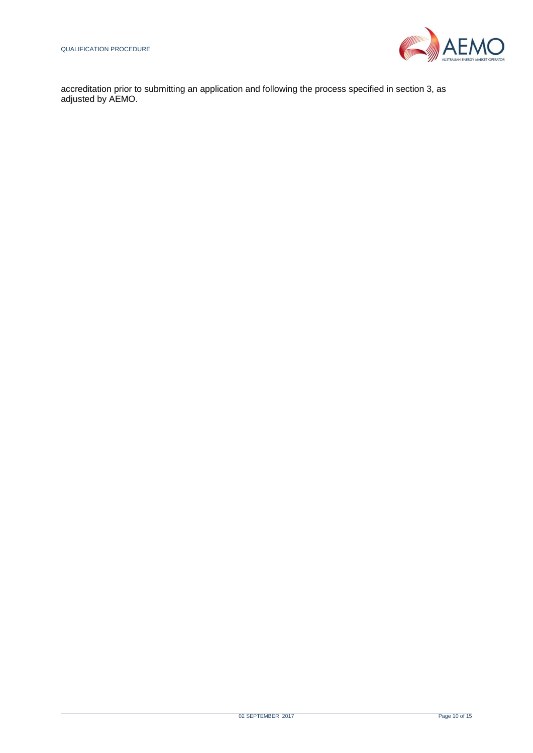

accreditation prior to submitting an application and following the process specified in section 3, as adjusted by AEMO.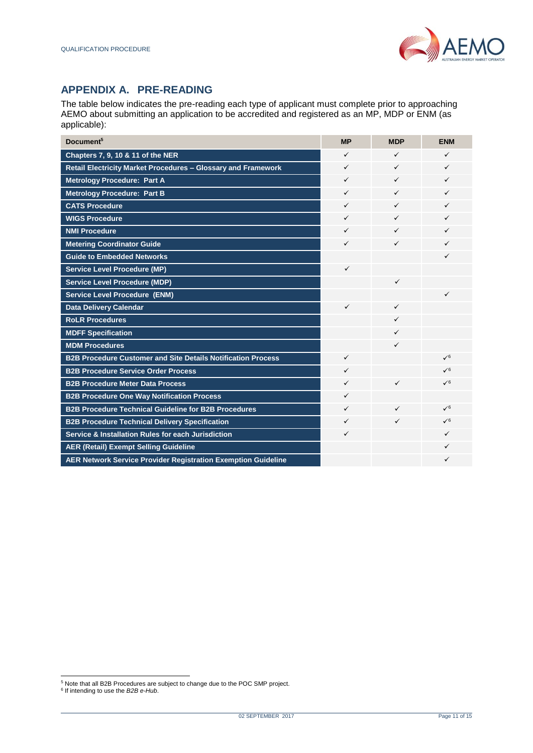## <span id="page-10-0"></span>**APPENDIX A. PRE-READING**

The table below indicates the pre-reading each type of applicant must complete prior to approaching AEMO about submitting an application to be accredited and registered as an MP, MDP or ENM (as applicable):

| Document <sup>5</sup>                                                | <b>MP</b>    | <b>MDP</b>   | <b>ENM</b>   |
|----------------------------------------------------------------------|--------------|--------------|--------------|
| Chapters 7, 9, 10 & 11 of the NER                                    | $\checkmark$ | ✓            | ✓            |
| Retail Electricity Market Procedures - Glossary and Framework        | $\checkmark$ | ✓            | $\checkmark$ |
| <b>Metrology Procedure: Part A</b>                                   | $\checkmark$ | ✓            | ✓            |
| <b>Metrology Procedure: Part B</b>                                   | $\checkmark$ | ✓            | $\checkmark$ |
| <b>CATS Procedure</b>                                                | ✓            | ✓            | ✓            |
| <b>WIGS Procedure</b>                                                | ✓            | $\checkmark$ | ✓            |
| <b>NMI Procedure</b>                                                 | ✓            | ✓            | ✓            |
| <b>Metering Coordinator Guide</b>                                    | $\checkmark$ | ✓            | $\checkmark$ |
| <b>Guide to Embedded Networks</b>                                    |              |              | ✓            |
| <b>Service Level Procedure (MP)</b>                                  | $\checkmark$ |              |              |
| <b>Service Level Procedure (MDP)</b>                                 |              | $\checkmark$ |              |
| <b>Service Level Procedure (ENM)</b>                                 |              |              | ✓            |
| <b>Data Delivery Calendar</b>                                        | ✓            | ✓            |              |
| <b>RoLR Procedures</b>                                               |              | ✓            |              |
| <b>MDFF Specification</b>                                            |              | ✓            |              |
| <b>MDM Procedures</b>                                                |              | ✓            |              |
| <b>B2B Procedure Customer and Site Details Notification Process</b>  | ✓            |              | $\sqrt{6}$   |
| <b>B2B Procedure Service Order Process</b>                           | $\checkmark$ |              | $\sqrt{6}$   |
| <b>B2B Procedure Meter Data Process</b>                              | $\checkmark$ | $\checkmark$ | $\sqrt{6}$   |
| <b>B2B Procedure One Way Notification Process</b>                    | ✓            |              |              |
| <b>B2B Procedure Technical Guideline for B2B Procedures</b>          | ✓            | $\checkmark$ | $\sqrt{6}$   |
| <b>B2B Procedure Technical Delivery Specification</b>                | $\checkmark$ | ✓            | $\sqrt{6}$   |
| Service & Installation Rules for each Jurisdiction                   | $\checkmark$ |              | $\checkmark$ |
| <b>AER (Retail) Exempt Selling Guideline</b>                         |              |              | ✓            |
| <b>AER Network Service Provider Registration Exemption Guideline</b> |              |              | ✓            |

l

<sup>&</sup>lt;sup>5</sup> Note that all B2B Procedures are subject to change due to the POC SMP project.

<sup>6</sup> If intending to use the *B2B e-Hub*.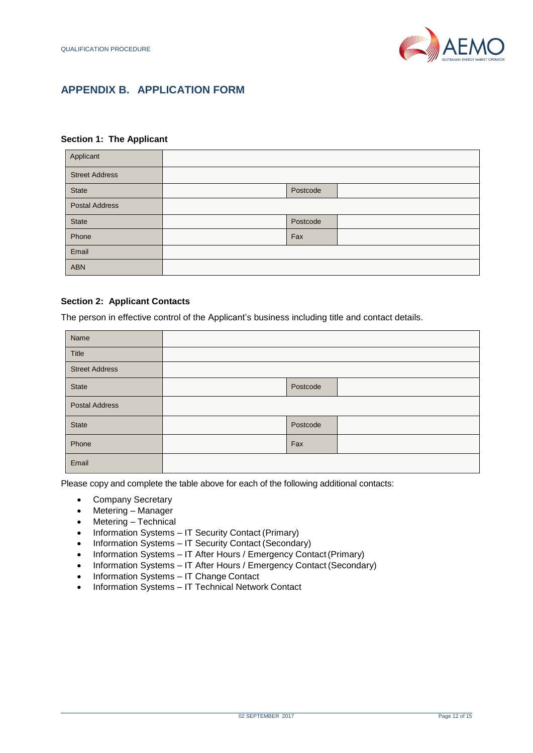

## <span id="page-11-0"></span>**APPENDIX B. APPLICATION FORM**

#### **Section 1: The Applicant**

| Applicant             |          |  |
|-----------------------|----------|--|
| <b>Street Address</b> |          |  |
| <b>State</b>          | Postcode |  |
| <b>Postal Address</b> |          |  |
| <b>State</b>          | Postcode |  |
| Phone                 | Fax      |  |
| Email                 |          |  |
| <b>ABN</b>            |          |  |

#### **Section 2: Applicant Contacts**

The person in effective control of the Applicant's business including title and contact details.

| Name                  |          |  |
|-----------------------|----------|--|
| Title                 |          |  |
| <b>Street Address</b> |          |  |
| <b>State</b>          | Postcode |  |
| <b>Postal Address</b> |          |  |
| <b>State</b>          | Postcode |  |
| Phone                 | Fax      |  |
| Email                 |          |  |

Please copy and complete the table above for each of the following additional contacts:

- Company Secretary
- Metering Manager
- Metering Technical
- Information Systems IT Security Contact (Primary)
- Information Systems IT Security Contact (Secondary)
- Information Systems IT After Hours / Emergency Contact (Primary)
- Information Systems IT After Hours / Emergency Contact (Secondary)
- Information Systems IT Change Contact
- Information Systems IT Technical Network Contact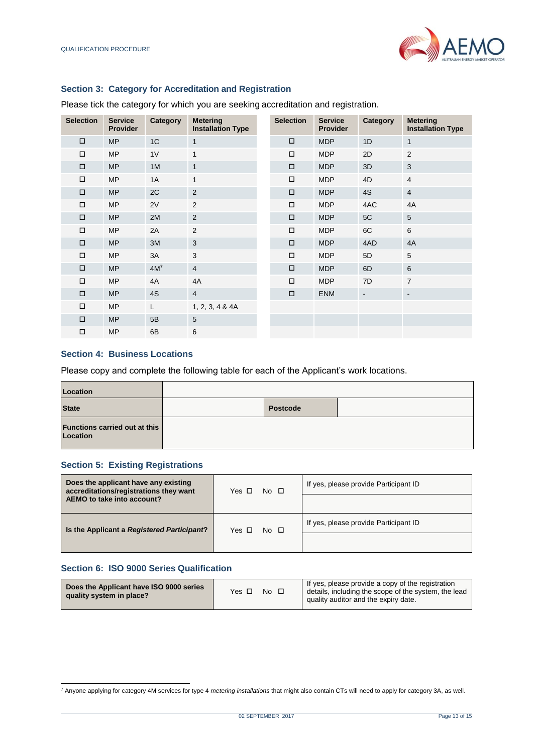

#### **Section 3: Category for Accreditation and Registration**

Please tick the category for which you are seeking accreditation and registration.

| <b>Selection</b> | <b>Service</b><br><b>Provider</b> | Category | <b>Metering</b><br><b>Installation Type</b> | <b>Selection</b> | <b>Service</b><br><b>Provider</b> | Category       | <b>Metering</b><br><b>Installation Type</b> |
|------------------|-----------------------------------|----------|---------------------------------------------|------------------|-----------------------------------|----------------|---------------------------------------------|
| $\Box$           | <b>MP</b>                         | 1C       | $\mathbf{1}$                                | $\Box$           | <b>MDP</b>                        | 1D             | $\mathbf{1}$                                |
| $\Box$           | <b>MP</b>                         | 1V       | 1                                           | $\Box$           | <b>MDP</b>                        | 2D             | 2                                           |
| $\Box$           | <b>MP</b>                         | 1M       | $\mathbf{1}$                                | $\Box$           | <b>MDP</b>                        | 3D             | 3                                           |
| П                | <b>MP</b>                         | 1A       | $\mathbf{1}$                                | $\Box$           | <b>MDP</b>                        | 4D             | $\overline{4}$                              |
| $\Box$           | <b>MP</b>                         | 2C       | 2                                           | $\Box$           | <b>MDP</b>                        | 4S             | $\overline{4}$                              |
| $\Box$           | <b>MP</b>                         | 2V       | 2                                           | $\Box$           | <b>MDP</b>                        | 4AC            | 4A                                          |
| $\Box$           | <b>MP</b>                         | 2M       | 2                                           | $\Box$           | <b>MDP</b>                        | 5C             | 5                                           |
| $\Box$           | <b>MP</b>                         | 2A       | 2                                           | $\Box$           | <b>MDP</b>                        | 6C             | 6                                           |
| $\Box$           | <b>MP</b>                         | 3M       | 3                                           | $\Box$           | <b>MDP</b>                        | 4AD            | 4A                                          |
| $\Box$           | <b>MP</b>                         | 3A       | 3                                           | □                | <b>MDP</b>                        | 5D             | 5                                           |
| $\Box$           | <b>MP</b>                         | $4M^7$   | $\overline{4}$                              | $\Box$           | <b>MDP</b>                        | 6D             | 6                                           |
| $\Box$           | <b>MP</b>                         | 4A       | 4A                                          | $\Box$           | <b>MDP</b>                        | 7D             | $\overline{7}$                              |
| $\Box$           | <b>MP</b>                         | 4S       | $\overline{4}$                              | $\Box$           | <b>ENM</b>                        | $\blacksquare$ | $\blacksquare$                              |
| $\Box$           | <b>MP</b>                         | L        | 1, 2, 3, 4 & 4A                             |                  |                                   |                |                                             |
| $\Box$           | <b>MP</b>                         | 5B       | 5                                           |                  |                                   |                |                                             |
| $\Box$           | <b>MP</b>                         | 6B       | 6                                           |                  |                                   |                |                                             |

#### **Section 4: Business Locations**

Please copy and complete the following table for each of the Applicant's work locations.

| Location                                  |          |  |
|-------------------------------------------|----------|--|
| <b>State</b>                              | Postcode |  |
| Functions carried out at this<br>Location |          |  |

#### **Section 5: Existing Registrations**

| Does the applicant have any existing<br>accreditations/registrations they want | $No$ $\Box$<br>Yes $\Box$ | If yes, please provide Participant ID |
|--------------------------------------------------------------------------------|---------------------------|---------------------------------------|
| AEMO to take into account?                                                     |                           |                                       |
| Is the Applicant a Registered Participant?                                     | $No$ $\Box$<br>Yes $\Box$ | If yes, please provide Participant ID |
|                                                                                |                           |                                       |

#### **Section 6: ISO 9000 Series Qualification**

l

| Does the Applicant have ISO 9000 series<br>quality system in place? | Yes | No □ |  | If yes, please provide a copy of the registration<br>details, including the scope of the system, the lead<br>quality auditor and the expiry date. |
|---------------------------------------------------------------------|-----|------|--|---------------------------------------------------------------------------------------------------------------------------------------------------|
|---------------------------------------------------------------------|-----|------|--|---------------------------------------------------------------------------------------------------------------------------------------------------|

<sup>7</sup> Anyone applying for category 4M services for type 4 *metering installations* that might also contain CTs will need to apply for category 3A, as well.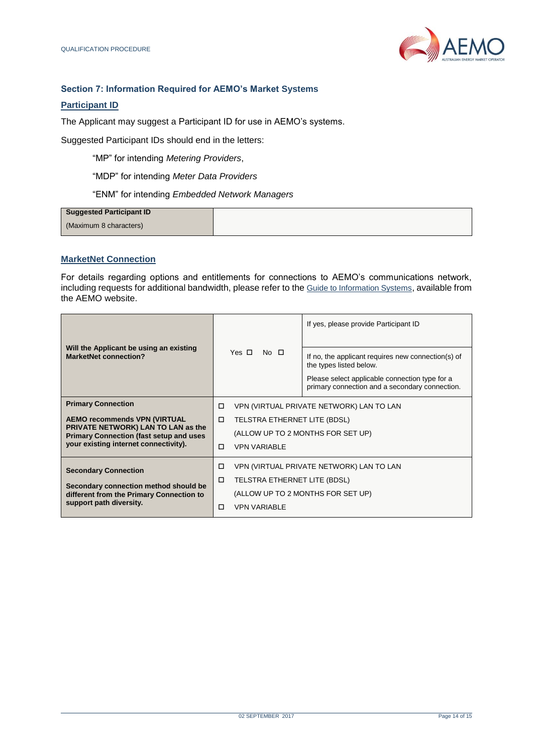

#### **Section 7: Information Required for AEMO's Market Systems**

#### **Participant ID**

The Applicant may suggest a Participant ID for use in AEMO's systems.

Suggested Participant IDs should end in the letters:

"MP" for intending *Metering Providers*,

"MDP" for intending *Meter Data Providers*

"ENM" for intending *Embedded Network Managers*

| Suggested Participant ID |  |
|--------------------------|--|
| (Maximum 8 characters)   |  |

#### **MarketNet Connection**

For details regarding options and entitlements for connections to AEMO's communications network, including requests for additional bandwidth, please refer to the [Guide to Information Systems](http://www.aemo.com.au/-/media/Files/IT_Changes/Guide-to-Information-Systems.pdf), available from the AEMO website.

| Will the Applicant be using an existing<br><b>MarketNet connection?</b>                                                       |   | Yes $\Pi$                                     | $No$ $\Box$         | If yes, please provide Participant ID<br>If no, the applicant requires new connection(s) of<br>the types listed below. |  |
|-------------------------------------------------------------------------------------------------------------------------------|---|-----------------------------------------------|---------------------|------------------------------------------------------------------------------------------------------------------------|--|
|                                                                                                                               |   |                                               |                     | Please select applicable connection type for a<br>primary connection and a secondary connection.                       |  |
| <b>Primary Connection</b>                                                                                                     | □ | VPN (VIRTUAL PRIVATE NETWORK) LAN TO LAN      |                     |                                                                                                                        |  |
| <b>AEMO recommends VPN (VIRTUAL</b>                                                                                           | 0 | TELSTRA ETHERNET LITE (BDSL)                  |                     |                                                                                                                        |  |
| PRIVATE NETWORK) LAN TO LAN as the<br><b>Primary Connection (fast setup and uses</b><br>your existing internet connectivity). |   | (ALLOW UP TO 2 MONTHS FOR SET UP)             |                     |                                                                                                                        |  |
|                                                                                                                               | п | <b>VPN VARIABLE</b>                           |                     |                                                                                                                        |  |
| <b>Secondary Connection</b>                                                                                                   |   | VPN (VIRTUAL PRIVATE NETWORK) LAN TO LAN<br>□ |                     |                                                                                                                        |  |
| Secondary connection method should be                                                                                         | □ | TELSTRA ETHERNET LITE (BDSL)                  |                     |                                                                                                                        |  |
| different from the Primary Connection to                                                                                      |   | (ALLOW UP TO 2 MONTHS FOR SET UP)             |                     |                                                                                                                        |  |
| support path diversity.                                                                                                       | п |                                               | <b>VPN VARIABLE</b> |                                                                                                                        |  |